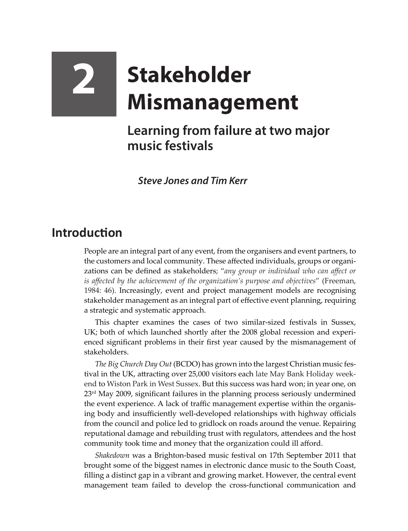## **2 Stakeholder Mismanagement**

## **Learning from failure at two major music festivals**

*Steve Jones and Tim Kerr*

## **Introduction**

People are an integral part of any event, from the organisers and event partners, to the customers and local community. These affected individuals, groups or organizations can be defined as stakeholders; "*any group or individual who can affect or is affected by the achievement of the organization's purpose and objectives*" (Freeman, 1984: 46). Increasingly, event and project management models are recognising stakeholder management as an integral part of effective event planning, requiring a strategic and systematic approach.

This chapter examines the cases of two similar-sized festivals in Sussex, UK; both of which launched shortly after the 2008 global recession and experienced significant problems in their first year caused by the mismanagement of stakeholders.

*The Big Church Day Out* (BCDO) has grown into the largest Christian music festival in the UK, attracting over 25,000 visitors each late May Bank Holiday weekend to Wiston Park in West Sussex. But this success was hard won; in year one, on  $23<sup>rd</sup>$  May 2009, significant failures in the planning process seriously undermined the event experience. A lack of traffic management expertise within the organising body and insufficiently well-developed relationships with highway officials from the council and police led to gridlock on roads around the venue. Repairing reputational damage and rebuilding trust with regulators, attendees and the host community took time and money that the organization could ill afford.

*Shakedown* was a Brighton-based music festival on 17th September 2011 that brought some of the biggest names in electronic dance music to the South Coast, filling a distinct gap in a vibrant and growing market. However, the central event management team failed to develop the cross-functional communication and